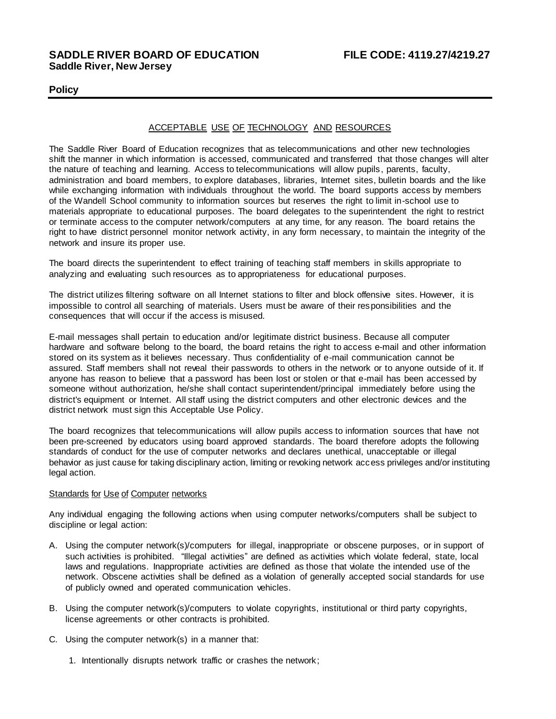# **SADDLE RIVER BOARD OF EDUCATION FILE CODE: 4119.27/4219.27 Saddle River, New Jersey**

## **Policy**

## ACCEPTABLE USE OF TECHNOLOGY AND RESOURCES

The Saddle River Board of Education recognizes that as telecommunications and other new technologies shift the manner in which information is accessed, communicated and transferred that those changes will alter the nature of teaching and learning. Access to telecommunications will allow pupils , parents, faculty, administration and board members, to explore databases, libraries, Internet sites, bulletin boards and the like while exchanging information with individuals throughout the world. The board supports access by members of the Wandell School community to information sources but reserves the right to limit in-school use to materials appropriate to educational purposes. The board delegates to the superintendent the right to restrict or terminate access to the computer network/computers at any time, for any reason. The board retains the right to have district personnel monitor network activity, in any form necessary, to maintain the integrity of the network and insure its proper use.

The board directs the superintendent to effect training of teaching staff members in skills appropriate to analyzing and evaluating such resources as to appropriateness for educational purposes.

The district utilizes filtering software on all Internet stations to filter and block offensive sites. However, it is impossible to control all searching of materials. Users must be aware of their responsibilities and the consequences that will occur if the access is misused.

E-mail messages shall pertain to education and/or legitimate district business. Because all computer hardware and software belong to the board, the board retains the right to access e-mail and other information stored on its system as it believes necessary. Thus confidentiality of e-mail communication cannot be assured. Staff members shall not reveal their passwords to others in the network or to anyone outside of it. If anyone has reason to believe that a password has been lost or stolen or that e-mail has been accessed by someone without authorization, he/she shall contact superintendent/principal immediately before using the district's equipment or Internet. All staff using the district computers and other electronic devices and the district network must sign this Acceptable Use Policy.

The board recognizes that telecommunications will allow pupils access to information sources that have not been pre-screened by educators using board approved standards. The board therefore adopts the following standards of conduct for the use of computer networks and declares unethical, unacceptable or illegal behavior as just cause for taking disciplinary action, limiting or revoking network access privileges and/or instituting legal action.

## **Standards for Use of Computer networks**

Any individual engaging the following actions when using computer networks/computers shall be subject to discipline or legal action:

- A. Using the computer network(s)/computers for illegal, inappropriate or obscene purposes, or in support of such activities is prohibited. "Illegal activities" are defined as activities which violate federal, state, local laws and regulations. Inappropriate activities are defined as those that violate the intended use of the network. Obscene activities shall be defined as a violation of generally accepted social standards for use of publicly owned and operated communication vehicles.
- B. Using the computer network(s)/computers to violate copyrights, institutional or third party copyrights, license agreements or other contracts is prohibited.
- C. Using the computer network(s) in a manner that:
	- 1. Intentionally disrupts network traffic or crashes the network;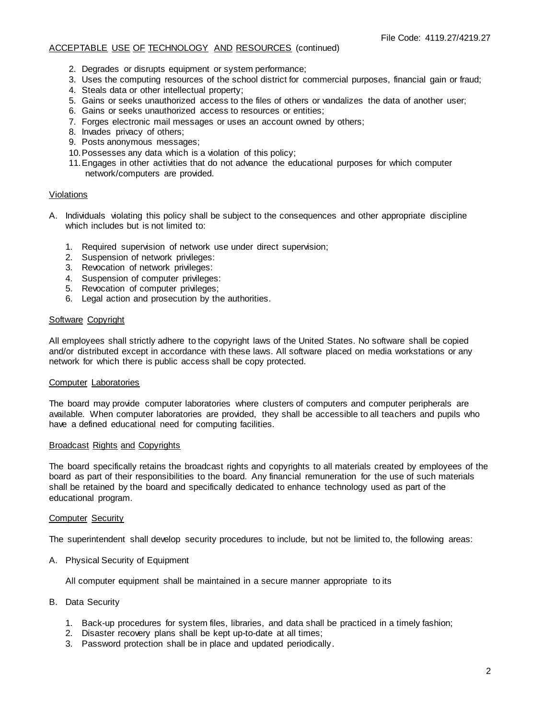## ACCEPTABLE USE OF TECHNOLOGY AND RESOURCES (continued)

- 2. Degrades or disrupts equipment or system performance;
- 3. Uses the computing resources of the school district for commercial purposes, financial gain or fraud;
- 4. Steals data or other intellectual property;
- 5. Gains or seeks unauthorized access to the files of others or vandalizes the data of another user;
- 6. Gains or seeks unauthorized access to resources or entities;
- 7. Forges electronic mail messages or uses an account owned by others;
- 8. Invades privacy of others;
- 9. Posts anonymous messages;
- 10.Possesses any data which is a violation of this policy;
- 11.Engages in other activities that do not advance the educational purposes for which computer network/computers are provided.

### Violations

- A. Individuals violating this policy shall be subject to the consequences and other appropriate discipline which includes but is not limited to:
	- 1. Required supervision of network use under direct supervision;
	- 2. Suspension of network privileges:
	- 3. Revocation of network privileges:
	- 4. Suspension of computer privileges:
	- 5. Revocation of computer privileges;
	- 6. Legal action and prosecution by the authorities.

## Software Copyright

All employees shall strictly adhere to the copyright laws of the United States. No software shall be copied and/or distributed except in accordance with these laws. All software placed on media workstations or any network for which there is public access shall be copy protected.

#### Computer Laboratories

The board may provide computer laboratories where clusters of computers and computer peripherals are available. When computer laboratories are provided, they shall be accessible to all teachers and pupils who have a defined educational need for computing facilities.

#### Broadcast Rights and Copyrights

The board specifically retains the broadcast rights and copyrights to all materials created by employees of the board as part of their responsibilities to the board. Any financial remuneration for the use of such materials shall be retained by the board and specifically dedicated to enhance technology used as part of the educational program.

#### **Computer Security**

The superintendent shall develop security procedures to include, but not be limited to, the following areas:

A. Physical Security of Equipment

All computer equipment shall be maintained in a secure manner appropriate to its

- B. Data Security
	- 1. Back-up procedures for system files, libraries, and data shall be practiced in a timely fashion;
	- 2. Disaster recovery plans shall be kept up-to-date at all times;
	- 3. Password protection shall be in place and updated periodically.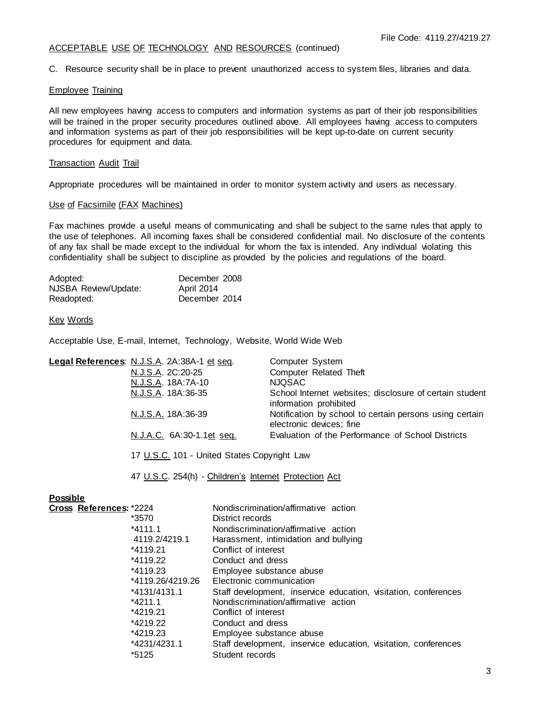## ACCEPTABLE USE OF TECHNOLOGY AND RESOURCES (continued)

C. Resource security shall be in place to prevent unauthorized access to system files, libraries and data.

### Employee Training

All new employees having access to computers and information systems as part of their job responsibilities will be trained in the proper security procedures outlined above. All employees having access to computers and information systems as part of their job responsibilities will be kept up-to-date on current security procedures for equipment and data.

## Transaction Audit Trail

Appropriate procedures will be maintained in order to monitor system activity and users as necessary.

## Use of Facsimile (FAX Machines)

Fax machines provide a useful means of communicating and shall be subject to the same rules that apply to the use of telephones. All incoming faxes shall be considered confidential mail. No disclosure of the contents of any fax shall be made except to the individual for whom the fax is intended. Any individual violating this confidentiality shall be subject to discipline as provided by the policies and regulations of the board.

| Adopted:             | December 2008 |
|----------------------|---------------|
| NJSBA Review/Update: | April 2014    |
| Readopted:           | December 2014 |

Key Words

Acceptable Use, E-mail, Internet, Technology, Website, World Wide Web

| Legal References: N.J.S.A. 2A:38A-1 et seq. | Computer System                                                                     |
|---------------------------------------------|-------------------------------------------------------------------------------------|
| N.J.S.A. 2C:20-25                           | Computer Related Theft                                                              |
| N.J.S.A. 18A:7A-10                          | NJQSAC                                                                              |
| N.J.S.A. 18A:36-35                          | School Internet websites; disclosure of certain student<br>information prohibited   |
| N.J.S.A. 18A:36-39                          | Notification by school to certain persons using certain<br>electronic devices; fine |
| N.J.A.C. 6A:30-1.1et seq.                   | Evaluation of the Performance of School Districts                                   |
|                                             |                                                                                     |

17 U.S.C. 101 - United States Copyright Law

47 U.S.C. 254(h) - Children's Internet Protection Act

## **Possible**

| Cross References: *2224 | Nondiscrimination/affirmative action                            |
|-------------------------|-----------------------------------------------------------------|
| *3570                   | District records                                                |
| $*4111.1$               | Nondiscrimination/affirmative action                            |
| 4119.2/4219.1           | Harassment, intimidation and bullying                           |
| *4119.21                | Conflict of interest                                            |
| *4119.22                | Conduct and dress                                               |
| *4119.23                | Employee substance abuse                                        |
| *4119.26/4219.26        | Electronic communication                                        |
| *4131/4131.1            | Staff development, inservice education, visitation, conferences |
| $*4211.1$               | Nondiscrimination/affirmative action                            |
| *4219.21                | Conflict of interest                                            |
| *4219.22                | Conduct and dress                                               |
| *4219.23                | Employee substance abuse                                        |
| *4231/4231.1            | Staff development, inservice education, visitation, conferences |
| *5125                   | Student records                                                 |